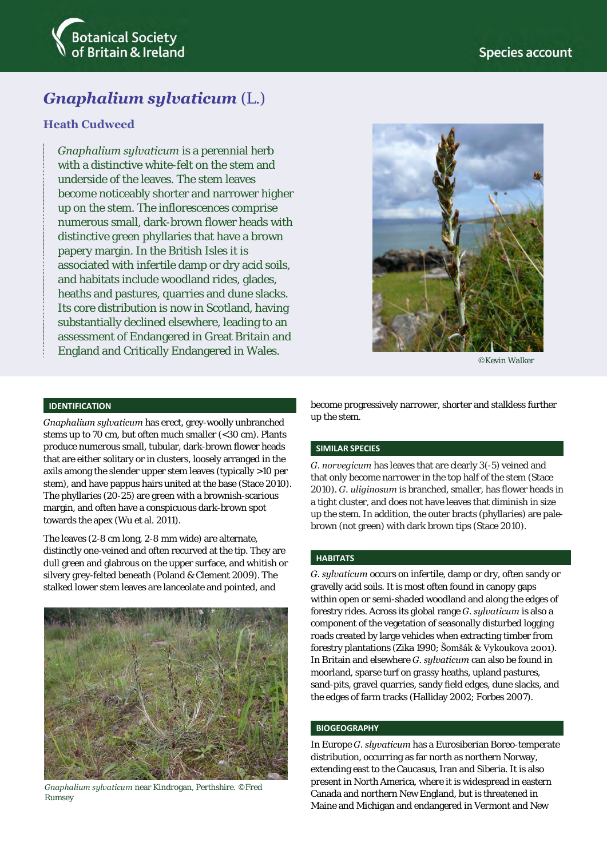

# *Gnaphalium sylvaticum* (L.)

# **Heath Cudweed**

*Gnaphalium sylvaticum* is a perennial herb with a distinctive white-felt on the stem and underside of the leaves. The stem leaves become noticeably shorter and narrower higher up on the stem. The inflorescences comprise numerous small, dark-brown flower heads with distinctive green phyllaries that have a brown papery margin. In the British Isles it is associated with infertile damp or dry acid soils, and habitats include woodland rides, glades, heaths and pastures, quarries and dune slacks. Its core distribution is now in Scotland, having substantially declined elsewhere, leading to an assessment of Endangered in Great Britain and England and Critically Endangered in Wales.



©Kevin Walker

## **IDENTIFICATION**

*Gnaphalium sylvaticum* has erect, grey-woolly unbranched stems up to 70 cm, but often much smaller (<30 cm). Plants produce numerous small, tubular, dark-brown flower heads that are either solitary or in clusters, loosely arranged in the axils among the slender upper stem leaves (typically >10 per stem), and have pappus hairs united at the base (Stace 2010). The phyllaries (20-25) are green with a brownish-scarious margin, and often have a conspicuous dark-brown spot towards the apex (Wu et al. 2011).

The leaves (2-8 cm long, 2-8 mm wide) are alternate, distinctly one-veined and often recurved at the tip. They are dull green and glabrous on the upper surface, and whitish or silvery grey-felted beneath (Poland & Clement 2009). The stalked lower stem leaves are lanceolate and pointed, and



*Gnaphalium sylvaticum* near Kindrogan, Perthshire. ©Fred Rumsey

become progressively narrower, shorter and stalkless further up the stem.

#### **SIMILAR SPECIES**

*G. norvegicum* has leaves that are clearly 3(-5) veined and that only become narrower in the top half of the stem (Stace 2010). *G. uliginosum* is branched, smaller, has flower heads in a tight cluster, and does not have leaves that diminish in size up the stem. In addition, the outer bracts (phyllaries) are palebrown (not green) with dark brown tips (Stace 2010).

### **HABITATS**

*G. sylvaticum* occurs on infertile, damp or dry, often sandy or gravelly acid soils. It is most often found in canopy gaps within open or semi-shaded woodland and along the edges of forestry rides. Across its global range *G. sylvaticum* is also a component of the vegetation of seasonally disturbed logging roads created by large vehicles when extracting timber from forestry plantations (Zika 1990; Šomšák & Vykoukova 2001). In Britain and elsewhere *G. sylvaticum* can also be found in moorland, sparse turf on grassy heaths, upland pastures, sand-pits, gravel quarries, sandy field edges, dune slacks, and the edges of farm tracks (Halliday 2002; Forbes 2007).

#### **BIOGEOGRAPHY**

In Europe *G. slyvaticum* has a Eurosiberian Boreo-temperate distribution, occurring as far north as northern Norway, extending east to the Caucasus, Iran and Siberia. It is also present in North America, where it is widespread in eastern Canada and northern New England, but is threatened in Maine and Michigan and endangered in Vermont and New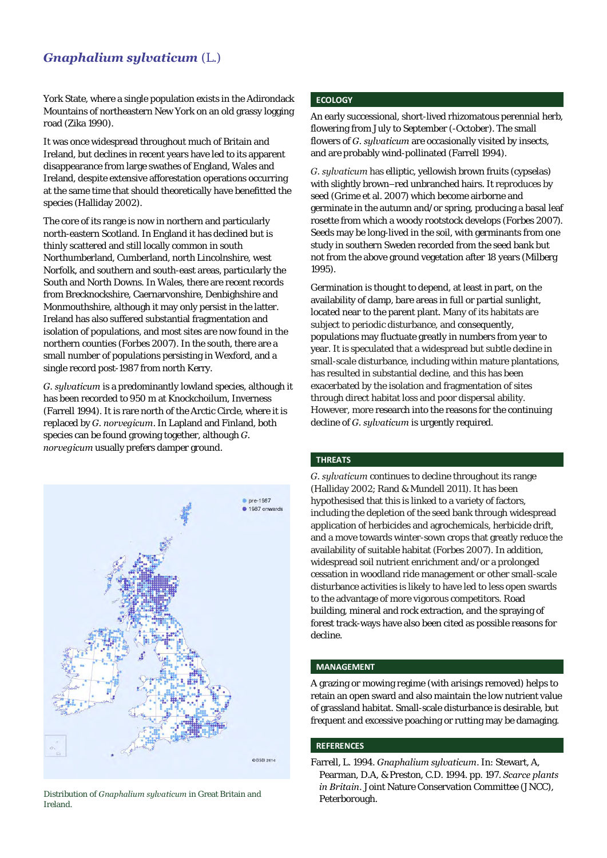# *Gnaphalium sylvaticum* (L.)

York State, where a single population exists in the Adirondack Mountains of northeastern New York on an old grassy logging road (Zika 1990).

It was once widespread throughout much of Britain and Ireland, but declines in recent years have led to its apparent disappearance from large swathes of England, Wales and Ireland, despite extensive afforestation operations occurring at the same time that should theoretically have benefitted the species (Halliday 2002).

The core of its range is now in northern and particularly north-eastern Scotland. In England it has declined but is thinly scattered and still locally common in south Northumberland, Cumberland, north Lincolnshire, west Norfolk, and southern and south-east areas, particularly the South and North Downs. In Wales, there are recent records from Brecknockshire, Caernarvonshire, Denbighshire and Monmouthshire, although it may only persist in the latter. Ireland has also suffered substantial fragmentation and isolation of populations, and most sites are now found in the northern counties (Forbes 2007). In the south, there are a small number of populations persisting in Wexford, and a single record post-1987 from north Kerry.

*G. sylvaticum* is a predominantly lowland species, although it has been recorded to 950 m at Knockchoilum, Inverness (Farrell 1994). It is rare north of the Arctic Circle, where it is replaced by *G. norvegicum*. In Lapland and Finland, both species can be found growing together, although *G. norvegicum* usually prefers damper ground.



Pustribution of *Gnaphalium sylvaticum* in Great Britain and **Push Pulling Property** Peterborough. Ireland.

# **ECOLOGY**

An early successional, short-lived rhizomatous perennial herb, flowering from July to September (-October). The small flowers of *G. sylvaticum* are occasionally visited by insects, and are probably wind-pollinated (Farrell 1994).

*G. sylvaticum* has elliptic, yellowish brown fruits (cypselas) with slightly brown–red unbranched hairs. It reproduces by seed (Grime et al. 2007) which become airborne and germinate in the autumn and/or spring, producing a basal leaf rosette from which a woody rootstock develops (Forbes 2007). Seeds may be long-lived in the soil, with germinants from one study in southern Sweden recorded from the seed bank but not from the above ground vegetation after 18 years (Milberg 1995).

Germination is thought to depend, at least in part, on the availability of damp, bare areas in full or partial sunlight, located near to the parent plant. Many of its habitats are subject to periodic disturbance, and consequently, populations may fluctuate greatly in numbers from year to year. It is speculated that a widespread but subtle decline in small-scale disturbance, including within mature plantations, has resulted in substantial decline, and this has been exacerbated by the isolation and fragmentation of sites through direct habitat loss and poor dispersal ability. However, more research into the reasons for the continuing decline of *G. sylvaticum* is urgently required.

#### **THREATS**

*G. sylvaticum* continues to decline throughout its range (Halliday 2002; Rand & Mundell 2011). It has been hypothesised that this is linked to a variety of factors, including the depletion of the seed bank through widespread application of herbicides and agrochemicals, herbicide drift, and a move towards winter-sown crops that greatly reduce the availability of suitable habitat (Forbes 2007). In addition, widespread soil nutrient enrichment and/or a prolonged cessation in woodland ride management or other small-scale disturbance activities is likely to have led to less open swards to the advantage of more vigorous competitors. Road building, mineral and rock extraction, and the spraying of forest track-ways have also been cited as possible reasons for decline.

## **MANAGEMENT**

A grazing or mowing regime (with arisings removed) helps to retain an open sward and also maintain the low nutrient value of grassland habitat. Small-scale disturbance is desirable, but frequent and excessive poaching or rutting may be damaging.

#### **REFERENCES**

Farrell, L. 1994. *Gnaphalium sylvaticum*. In: Stewart, A, Pearman, D.A, & Preston, C.D. 1994. pp. 197. *[Scarce plants](http://www.brc.ac.uk/plantatlas/index.php?q=content/scarce-plants-britain)  [in Britain](http://www.brc.ac.uk/plantatlas/index.php?q=content/scarce-plants-britain)*. Joint Nature Conservation Committee (JNCC),